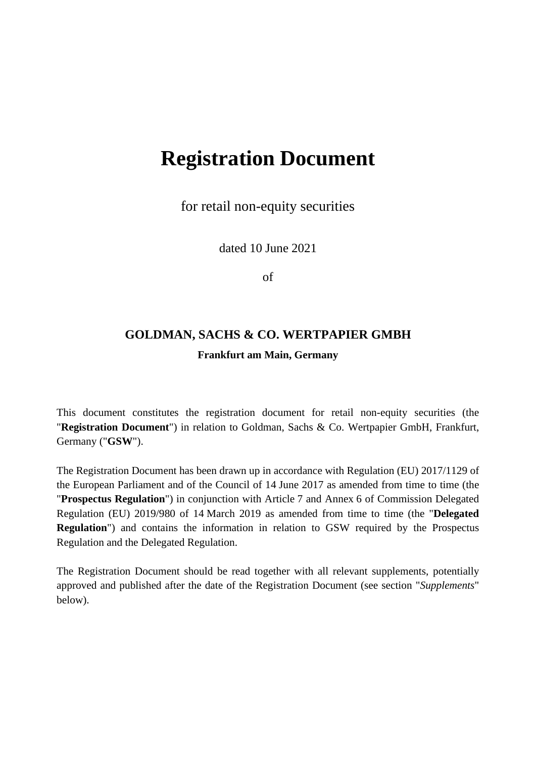# **Registration Document**

for retail non-equity securities

dated 10 June 2021

of

# **GOLDMAN, SACHS & CO. WERTPAPIER GMBH Frankfurt am Main, Germany**

This document constitutes the registration document for retail non-equity securities (the "**Registration Document**") in relation to Goldman, Sachs & Co. Wertpapier GmbH, Frankfurt, Germany ("**GSW**").

The Registration Document has been drawn up in accordance with Regulation (EU) 2017/1129 of the European Parliament and of the Council of 14 June 2017 as amended from time to time (the "**Prospectus Regulation**") in conjunction with Article 7 and Annex 6 of Commission Delegated Regulation (EU) 2019/980 of 14 March 2019 as amended from time to time (the "**Delegated Regulation**") and contains the information in relation to GSW required by the Prospectus Regulation and the Delegated Regulation.

The Registration Document should be read together with all relevant supplements, potentially approved and published after the date of the Registration Document (see section "*Supplements*" below).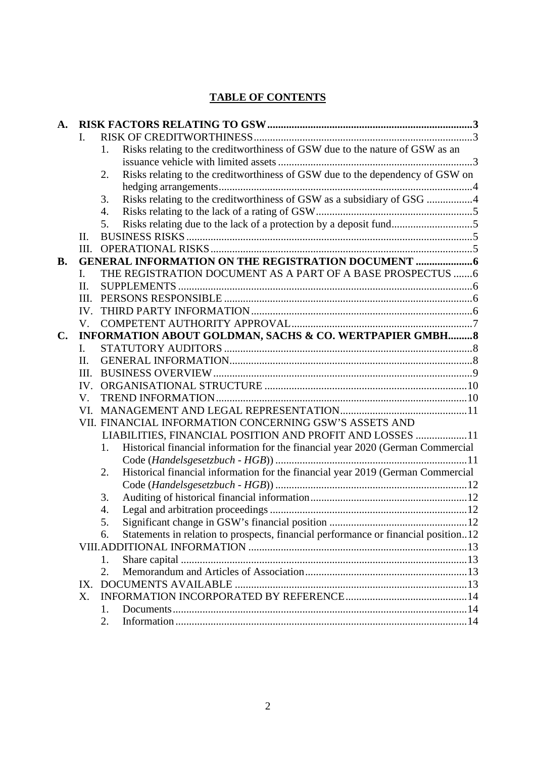# **TABLE OF CONTENTS**

| A.             |                                                                 |                                                                                                   |  |  |  |
|----------------|-----------------------------------------------------------------|---------------------------------------------------------------------------------------------------|--|--|--|
|                | I.                                                              |                                                                                                   |  |  |  |
|                |                                                                 | Risks relating to the creditworthiness of GSW due to the nature of GSW as an<br>1.                |  |  |  |
|                |                                                                 |                                                                                                   |  |  |  |
|                |                                                                 | Risks relating to the creditworthiness of GSW due to the dependency of GSW on<br>2.               |  |  |  |
|                |                                                                 |                                                                                                   |  |  |  |
|                |                                                                 | Risks relating to the creditworthiness of GSW as a subsidiary of GSG 4<br>3.                      |  |  |  |
|                |                                                                 | 4.                                                                                                |  |  |  |
|                |                                                                 | 5.                                                                                                |  |  |  |
|                | $\Pi$ .                                                         |                                                                                                   |  |  |  |
|                | III.                                                            |                                                                                                   |  |  |  |
| <b>B.</b>      |                                                                 |                                                                                                   |  |  |  |
|                | THE REGISTRATION DOCUMENT AS A PART OF A BASE PROSPECTUS 6<br>L |                                                                                                   |  |  |  |
|                | II.                                                             |                                                                                                   |  |  |  |
|                | III.                                                            |                                                                                                   |  |  |  |
|                | IV.                                                             |                                                                                                   |  |  |  |
|                | V.                                                              |                                                                                                   |  |  |  |
| $\mathbf{C}$ . |                                                                 | INFORMATION ABOUT GOLDMAN, SACHS & CO. WERTPAPIER GMBH 8                                          |  |  |  |
|                | I.                                                              |                                                                                                   |  |  |  |
|                | II.                                                             |                                                                                                   |  |  |  |
|                | III.                                                            |                                                                                                   |  |  |  |
|                | IV.                                                             |                                                                                                   |  |  |  |
|                | V.                                                              |                                                                                                   |  |  |  |
|                | VI.                                                             |                                                                                                   |  |  |  |
|                |                                                                 | VII. FINANCIAL INFORMATION CONCERNING GSW'S ASSETS AND                                            |  |  |  |
|                |                                                                 | LIABILITIES, FINANCIAL POSITION AND PROFIT AND LOSSES  11                                         |  |  |  |
|                |                                                                 | Historical financial information for the financial year 2020 (German Commercial<br>$\mathbf{1}$ . |  |  |  |
|                |                                                                 |                                                                                                   |  |  |  |
|                |                                                                 | Historical financial information for the financial year 2019 (German Commercial<br>2.             |  |  |  |
|                |                                                                 |                                                                                                   |  |  |  |
|                |                                                                 | 3.                                                                                                |  |  |  |
|                |                                                                 | 4.                                                                                                |  |  |  |
|                |                                                                 | 5.                                                                                                |  |  |  |
|                |                                                                 | Statements in relation to prospects, financial performance or financial position12<br>6.          |  |  |  |
|                |                                                                 |                                                                                                   |  |  |  |
|                |                                                                 | 1.                                                                                                |  |  |  |
|                |                                                                 | 2.                                                                                                |  |  |  |
|                | $IX_{-}$                                                        |                                                                                                   |  |  |  |
|                | X.                                                              |                                                                                                   |  |  |  |
|                |                                                                 | 1.                                                                                                |  |  |  |
|                |                                                                 | 2.                                                                                                |  |  |  |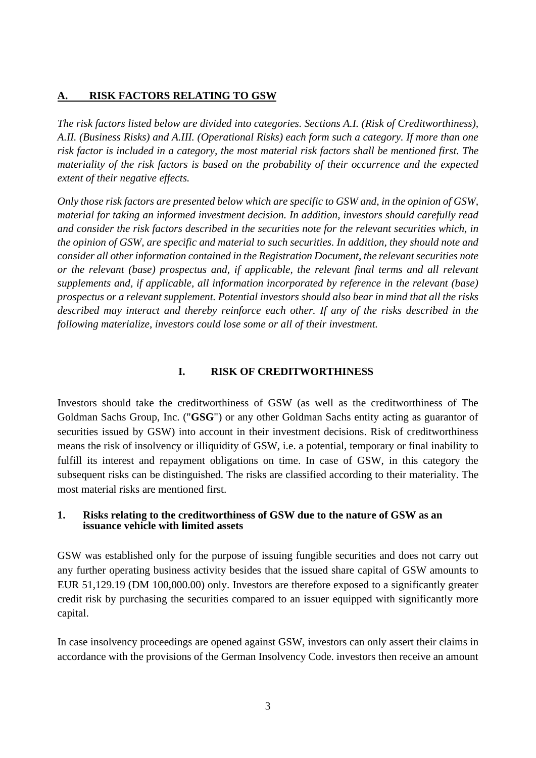#### <span id="page-2-0"></span>**A. RISK FACTORS RELATING TO GSW**

*The risk factors listed below are divided into categories. Sections A.I. (Risk of Creditworthiness), A.II. (Business Risks) and A.III. (Operational Risks) each form such a category. If more than one risk factor is included in a category, the most material risk factors shall be mentioned first. The materiality of the risk factors is based on the probability of their occurrence and the expected extent of their negative effects.* 

*Only those risk factors are presented below which are specific to GSW and, in the opinion of GSW, material for taking an informed investment decision. In addition, investors should carefully read and consider the risk factors described in the securities note for the relevant securities which, in the opinion of GSW, are specific and material to such securities. In addition, they should note and consider all other information contained in the Registration Document, the relevant securities note or the relevant (base) prospectus and, if applicable, the relevant final terms and all relevant supplements and, if applicable, all information incorporated by reference in the relevant (base) prospectus or a relevant supplement. Potential investors should also bear in mind that all the risks described may interact and thereby reinforce each other. If any of the risks described in the following materialize, investors could lose some or all of their investment.* 

#### <span id="page-2-1"></span>**I. RISK OF CREDITWORTHINESS**

Investors should take the creditworthiness of GSW (as well as the creditworthiness of The Goldman Sachs Group, Inc. ("**GSG**") or any other Goldman Sachs entity acting as guarantor of securities issued by GSW) into account in their investment decisions. Risk of creditworthiness means the risk of insolvency or illiquidity of GSW, i.e. a potential, temporary or final inability to fulfill its interest and repayment obligations on time. In case of GSW, in this category the subsequent risks can be distinguished. The risks are classified according to their materiality. The most material risks are mentioned first.

#### <span id="page-2-2"></span>**1. Risks relating to the creditworthiness of GSW due to the nature of GSW as an issuance vehicle with limited assets**

GSW was established only for the purpose of issuing fungible securities and does not carry out any further operating business activity besides that the issued share capital of GSW amounts to EUR 51,129.19 (DM 100,000.00) only. Investors are therefore exposed to a significantly greater credit risk by purchasing the securities compared to an issuer equipped with significantly more capital.

In case insolvency proceedings are opened against GSW, investors can only assert their claims in accordance with the provisions of the German Insolvency Code. investors then receive an amount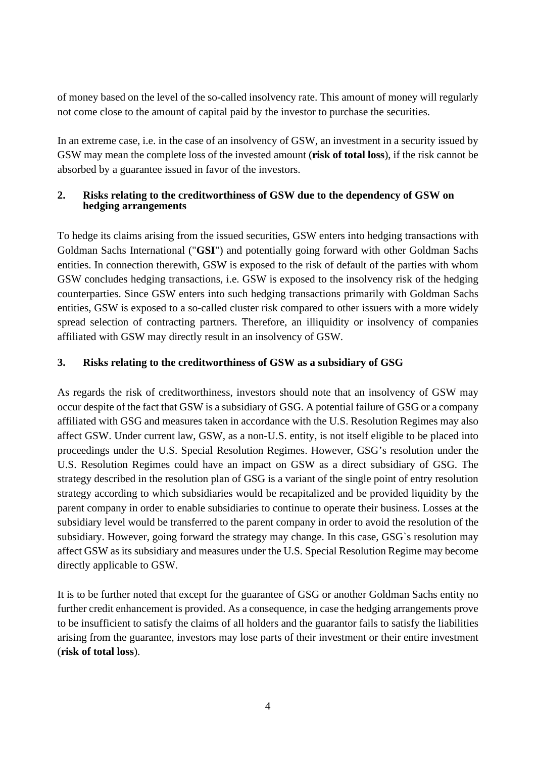of money based on the level of the so-called insolvency rate. This amount of money will regularly not come close to the amount of capital paid by the investor to purchase the securities.

In an extreme case, i.e. in the case of an insolvency of GSW, an investment in a security issued by GSW may mean the complete loss of the invested amount (**risk of total loss**), if the risk cannot be absorbed by a guarantee issued in favor of the investors.

# <span id="page-3-0"></span>**2. Risks relating to the creditworthiness of GSW due to the dependency of GSW on hedging arrangements**

To hedge its claims arising from the issued securities, GSW enters into hedging transactions with Goldman Sachs International ("**GSI**") and potentially going forward with other Goldman Sachs entities. In connection therewith, GSW is exposed to the risk of default of the parties with whom GSW concludes hedging transactions, i.e. GSW is exposed to the insolvency risk of the hedging counterparties. Since GSW enters into such hedging transactions primarily with Goldman Sachs entities, GSW is exposed to a so-called cluster risk compared to other issuers with a more widely spread selection of contracting partners. Therefore, an illiquidity or insolvency of companies affiliated with GSW may directly result in an insolvency of GSW.

# <span id="page-3-1"></span>**3. Risks relating to the creditworthiness of GSW as a subsidiary of GSG**

As regards the risk of creditworthiness, investors should note that an insolvency of GSW may occur despite of the fact that GSW is a subsidiary of GSG. A potential failure of GSG or a company affiliated with GSG and measures taken in accordance with the U.S. Resolution Regimes may also affect GSW. Under current law, GSW, as a non-U.S. entity, is not itself eligible to be placed into proceedings under the U.S. Special Resolution Regimes. However, GSG's resolution under the U.S. Resolution Regimes could have an impact on GSW as a direct subsidiary of GSG. The strategy described in the resolution plan of GSG is a variant of the single point of entry resolution strategy according to which subsidiaries would be recapitalized and be provided liquidity by the parent company in order to enable subsidiaries to continue to operate their business. Losses at the subsidiary level would be transferred to the parent company in order to avoid the resolution of the subsidiary. However, going forward the strategy may change. In this case, GSG`s resolution may affect GSW as its subsidiary and measures under the U.S. Special Resolution Regime may become directly applicable to GSW.

It is to be further noted that except for the guarantee of GSG or another Goldman Sachs entity no further credit enhancement is provided. As a consequence, in case the hedging arrangements prove to be insufficient to satisfy the claims of all holders and the guarantor fails to satisfy the liabilities arising from the guarantee, investors may lose parts of their investment or their entire investment (**risk of total loss**).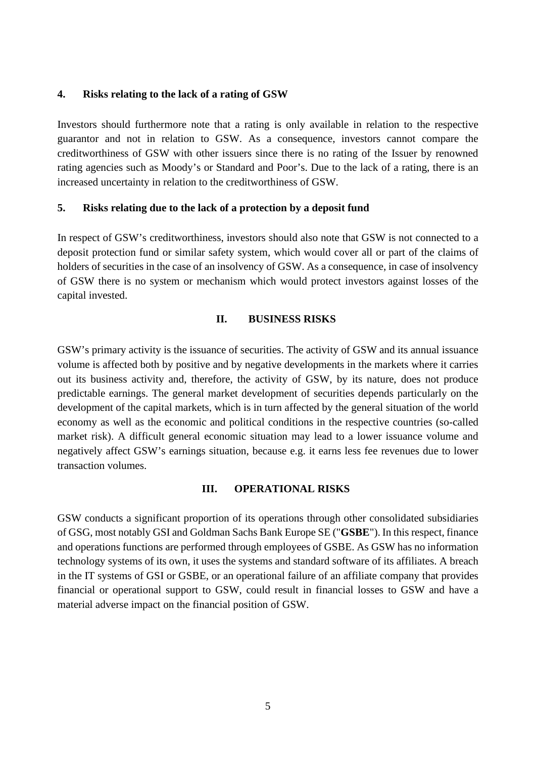#### <span id="page-4-0"></span>**4. Risks relating to the lack of a rating of GSW**

Investors should furthermore note that a rating is only available in relation to the respective guarantor and not in relation to GSW. As a consequence, investors cannot compare the creditworthiness of GSW with other issuers since there is no rating of the Issuer by renowned rating agencies such as Moody's or Standard and Poor's. Due to the lack of a rating, there is an increased uncertainty in relation to the creditworthiness of GSW.

#### <span id="page-4-1"></span>**5. Risks relating due to the lack of a protection by a deposit fund**

In respect of GSW's creditworthiness, investors should also note that GSW is not connected to a deposit protection fund or similar safety system, which would cover all or part of the claims of holders of securities in the case of an insolvency of GSW. As a consequence, in case of insolvency of GSW there is no system or mechanism which would protect investors against losses of the capital invested.

#### <span id="page-4-2"></span>**II. BUSINESS RISKS**

GSW's primary activity is the issuance of securities. The activity of GSW and its annual issuance volume is affected both by positive and by negative developments in the markets where it carries out its business activity and, therefore, the activity of GSW, by its nature, does not produce predictable earnings. The general market development of securities depends particularly on the development of the capital markets, which is in turn affected by the general situation of the world economy as well as the economic and political conditions in the respective countries (so-called market risk). A difficult general economic situation may lead to a lower issuance volume and negatively affect GSW's earnings situation, because e.g. it earns less fee revenues due to lower transaction volumes.

#### <span id="page-4-3"></span>**III. OPERATIONAL RISKS**

GSW conducts a significant proportion of its operations through other consolidated subsidiaries of GSG, most notably GSI and Goldman Sachs Bank Europe SE ("**GSBE**"). In this respect, finance and operations functions are performed through employees of GSBE. As GSW has no information technology systems of its own, it uses the systems and standard software of its affiliates. A breach in the IT systems of GSI or GSBE, or an operational failure of an affiliate company that provides financial or operational support to GSW, could result in financial losses to GSW and have a material adverse impact on the financial position of GSW.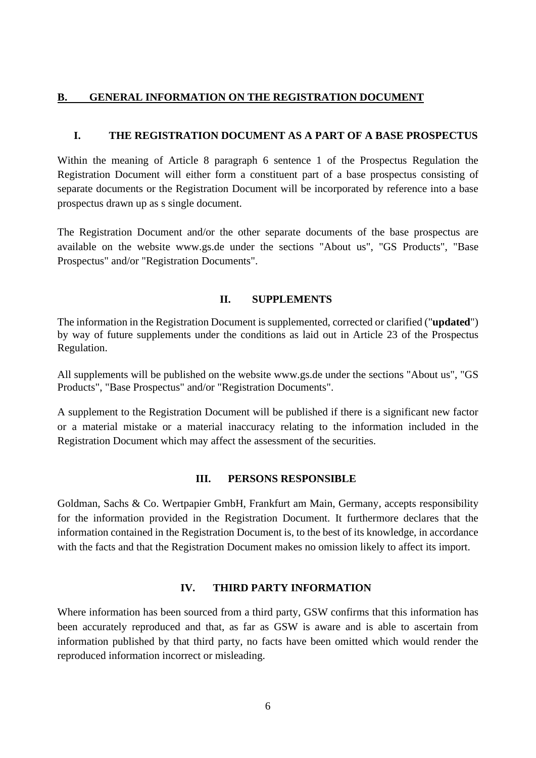#### <span id="page-5-0"></span>**B. GENERAL INFORMATION ON THE REGISTRATION DOCUMENT**

#### <span id="page-5-1"></span>**I. THE REGISTRATION DOCUMENT AS A PART OF A BASE PROSPECTUS**

Within the meaning of Article 8 paragraph 6 sentence 1 of the Prospectus Regulation the Registration Document will either form a constituent part of a base prospectus consisting of separate documents or the Registration Document will be incorporated by reference into a base prospectus drawn up as s single document.

The Registration Document and/or the other separate documents of the base prospectus are available on the website www.gs.de under the sections "About us", "GS Products", "Base Prospectus" and/or "Registration Documents".

#### <span id="page-5-2"></span>**II. SUPPLEMENTS**

The information in the Registration Document is supplemented, corrected or clarified ("**updated**") by way of future supplements under the conditions as laid out in Article 23 of the Prospectus Regulation.

All supplements will be published on the website www.gs.de under the sections "About us", "GS Products", "Base Prospectus" and/or "Registration Documents".

A supplement to the Registration Document will be published if there is a significant new factor or a material mistake or a material inaccuracy relating to the information included in the Registration Document which may affect the assessment of the securities.

#### <span id="page-5-3"></span>**III. PERSONS RESPONSIBLE**

Goldman, Sachs & Co. Wertpapier GmbH, Frankfurt am Main, Germany, accepts responsibility for the information provided in the Registration Document. It furthermore declares that the information contained in the Registration Document is, to the best of its knowledge, in accordance with the facts and that the Registration Document makes no omission likely to affect its import.

#### <span id="page-5-4"></span>**IV. THIRD PARTY INFORMATION**

Where information has been sourced from a third party, GSW confirms that this information has been accurately reproduced and that, as far as GSW is aware and is able to ascertain from information published by that third party, no facts have been omitted which would render the reproduced information incorrect or misleading.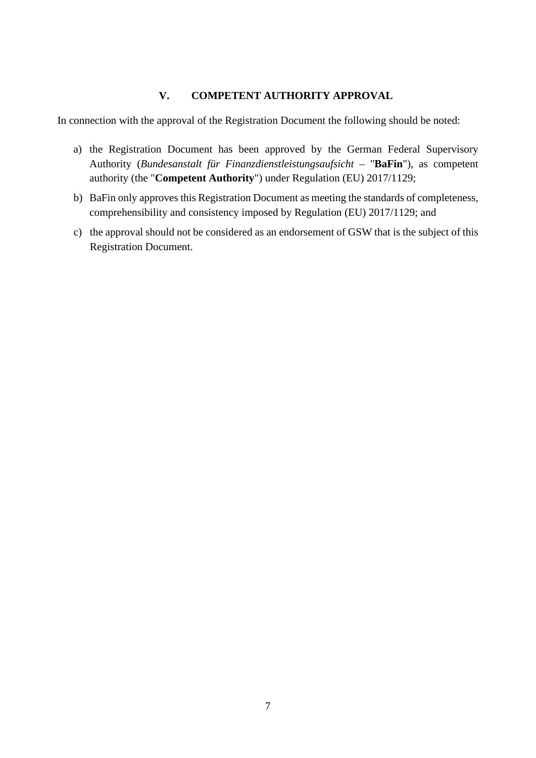# **V. COMPETENT AUTHORITY APPROVAL**

<span id="page-6-0"></span>In connection with the approval of the Registration Document the following should be noted:

- a) the Registration Document has been approved by the German Federal Supervisory Authority (*Bundesanstalt für Finanzdienstleistungsaufsicht –* "**BaFin**"), as competent authority (the "**Competent Authority**") under Regulation (EU) 2017/1129;
- b) BaFin only approves this Registration Document as meeting the standards of completeness, comprehensibility and consistency imposed by Regulation (EU) 2017/1129; and
- c) the approval should not be considered as an endorsement of GSW that is the subject of this Registration Document.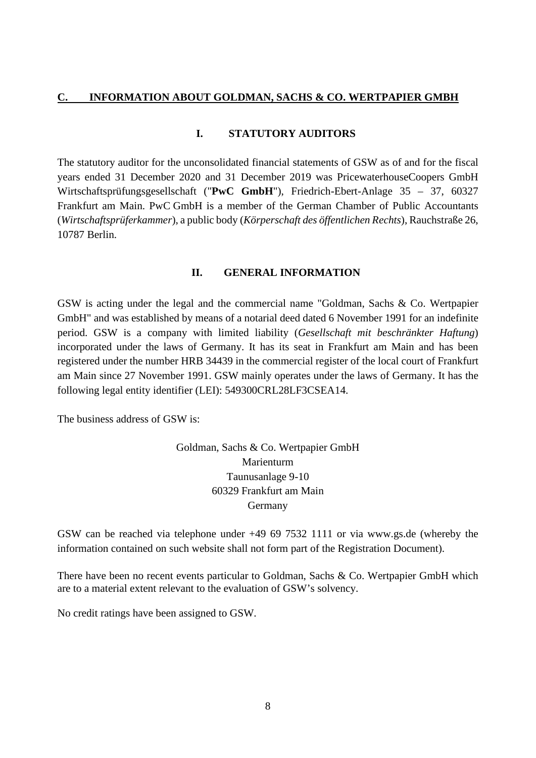#### <span id="page-7-1"></span><span id="page-7-0"></span>**C. INFORMATION ABOUT GOLDMAN, SACHS & CO. WERTPAPIER GMBH**

#### **I. STATUTORY AUDITORS**

The statutory auditor for the unconsolidated financial statements of GSW as of and for the fiscal years ended 31 December 2020 and 31 December 2019 was PricewaterhouseCoopers GmbH Wirtschaftsprüfungsgesellschaft ("**PwC GmbH**"), Friedrich-Ebert-Anlage 35 – 37, 60327 Frankfurt am Main. PwC GmbH is a member of the German Chamber of Public Accountants (*Wirtschaftsprüferkammer*), a public body (*Körperschaft des öffentlichen Rechts*), Rauchstraße 26, 10787 Berlin.

#### **II. GENERAL INFORMATION**

<span id="page-7-2"></span>GSW is acting under the legal and the commercial name "Goldman, Sachs & Co. Wertpapier GmbH" and was established by means of a notarial deed dated 6 November 1991 for an indefinite period. GSW is a company with limited liability (*Gesellschaft mit beschränkter Haftung*) incorporated under the laws of Germany. It has its seat in Frankfurt am Main and has been registered under the number HRB 34439 in the commercial register of the local court of Frankfurt am Main since 27 November 1991. GSW mainly operates under the laws of Germany. It has the following legal entity identifier (LEI): 549300CRL28LF3CSEA14.

The business address of GSW is:

Goldman, Sachs & Co. Wertpapier GmbH Marienturm Taunusanlage 9-10 60329 Frankfurt am Main Germany

GSW can be reached via telephone under +49 69 7532 1111 or via [www.gs.de](http://www.gs.de/) (whereby the information contained on such website shall not form part of the Registration Document).

There have been no recent events particular to Goldman, Sachs & Co. Wertpapier GmbH which are to a material extent relevant to the evaluation of GSW's solvency.

No credit ratings have been assigned to GSW.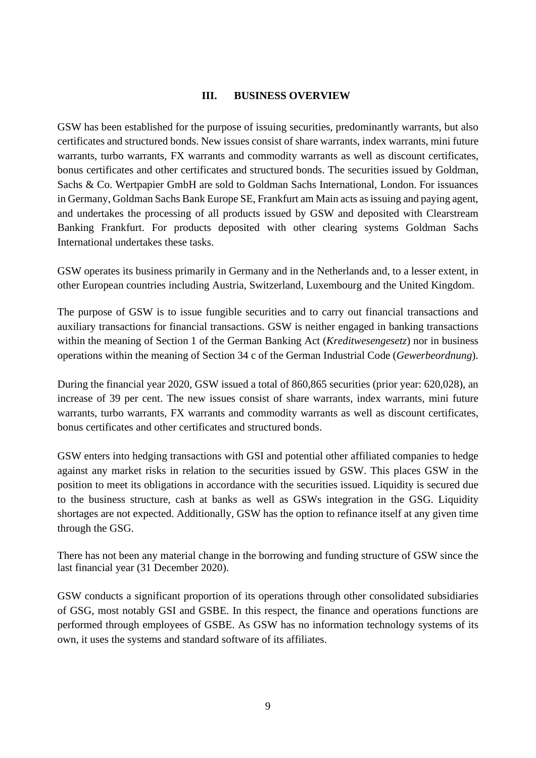#### **III. BUSINESS OVERVIEW**

<span id="page-8-0"></span>GSW has been established for the purpose of issuing securities, predominantly warrants, but also certificates and structured bonds. New issues consist of share warrants, index warrants, mini future warrants, turbo warrants, FX warrants and commodity warrants as well as discount certificates, bonus certificates and other certificates and structured bonds. The securities issued by Goldman, Sachs & Co. Wertpapier GmbH are sold to Goldman Sachs International, London. For issuances in Germany, Goldman Sachs Bank Europe SE, Frankfurt am Main acts as issuing and paying agent, and undertakes the processing of all products issued by GSW and deposited with Clearstream Banking Frankfurt. For products deposited with other clearing systems Goldman Sachs International undertakes these tasks.

GSW operates its business primarily in Germany and in the Netherlands and, to a lesser extent, in other European countries including Austria, Switzerland, Luxembourg and the United Kingdom.

The purpose of GSW is to issue fungible securities and to carry out financial transactions and auxiliary transactions for financial transactions. GSW is neither engaged in banking transactions within the meaning of Section 1 of the German Banking Act (*Kreditwesengesetz*) nor in business operations within the meaning of Section 34 c of the German Industrial Code (*Gewerbeordnung*).

During the financial year 2020, GSW issued a total of 860,865 securities (prior year: 620,028), an increase of 39 per cent. The new issues consist of share warrants, index warrants, mini future warrants, turbo warrants, FX warrants and commodity warrants as well as discount certificates, bonus certificates and other certificates and structured bonds.

GSW enters into hedging transactions with GSI and potential other affiliated companies to hedge against any market risks in relation to the securities issued by GSW. This places GSW in the position to meet its obligations in accordance with the securities issued. Liquidity is secured due to the business structure, cash at banks as well as GSWs integration in the GSG. Liquidity shortages are not expected. Additionally, GSW has the option to refinance itself at any given time through the GSG.

There has not been any material change in the borrowing and funding structure of GSW since the last financial year (31 December 2020).

GSW conducts a significant proportion of its operations through other consolidated subsidiaries of GSG, most notably GSI and GSBE. In this respect, the finance and operations functions are performed through employees of GSBE. As GSW has no information technology systems of its own, it uses the systems and standard software of its affiliates.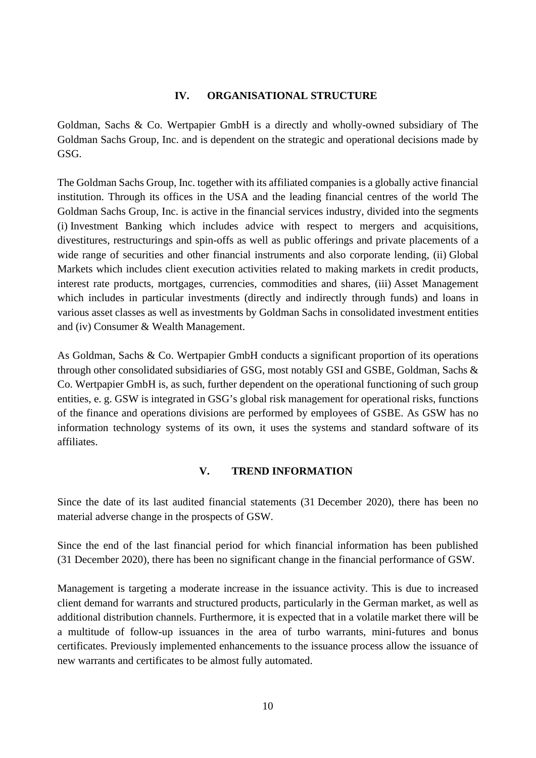#### **IV. ORGANISATIONAL STRUCTURE**

<span id="page-9-0"></span>Goldman, Sachs & Co. Wertpapier GmbH is a directly and wholly-owned subsidiary of The Goldman Sachs Group, Inc. and is dependent on the strategic and operational decisions made by GSG.

The Goldman Sachs Group, Inc. together with its affiliated companies is a globally active financial institution. Through its offices in the USA and the leading financial centres of the world The Goldman Sachs Group, Inc. is active in the financial services industry, divided into the segments (i) Investment Banking which includes advice with respect to mergers and acquisitions, divestitures, restructurings and spin-offs as well as public offerings and private placements of a wide range of securities and other financial instruments and also corporate lending, (ii) Global Markets which includes client execution activities related to making markets in credit products, interest rate products, mortgages, currencies, commodities and shares, (iii) Asset Management which includes in particular investments (directly and indirectly through funds) and loans in various asset classes as well as investments by Goldman Sachs in consolidated investment entities and (iv) Consumer & Wealth Management.

As Goldman, Sachs & Co. Wertpapier GmbH conducts a significant proportion of its operations through other consolidated subsidiaries of GSG, most notably GSI and GSBE, Goldman, Sachs & Co. Wertpapier GmbH is, as such, further dependent on the operational functioning of such group entities, e. g. GSW is integrated in GSG's global risk management for operational risks, functions of the finance and operations divisions are performed by employees of GSBE. As GSW has no information technology systems of its own, it uses the systems and standard software of its affiliates.

# **V. TREND INFORMATION**

<span id="page-9-1"></span>Since the date of its last audited financial statements (31 December 2020), there has been no material adverse change in the prospects of GSW.

Since the end of the last financial period for which financial information has been published (31 December 2020), there has been no significant change in the financial performance of GSW.

Management is targeting a moderate increase in the issuance activity. This is due to increased client demand for warrants and structured products, particularly in the German market, as well as additional distribution channels. Furthermore, it is expected that in a volatile market there will be a multitude of follow-up issuances in the area of turbo warrants, mini-futures and bonus certificates. Previously implemented enhancements to the issuance process allow the issuance of new warrants and certificates to be almost fully automated.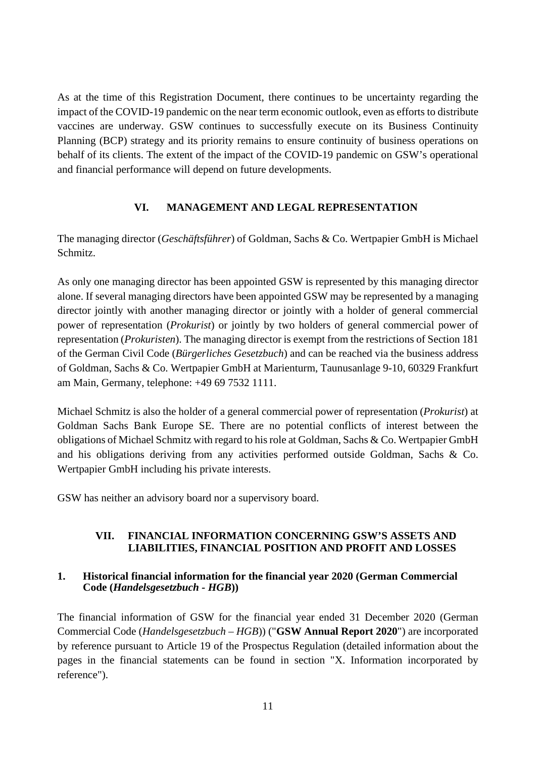As at the time of this Registration Document, there continues to be uncertainty regarding the impact of the COVID-19 pandemic on the near term economic outlook, even as efforts to distribute vaccines are underway. GSW continues to successfully execute on its Business Continuity Planning (BCP) strategy and its priority remains to ensure continuity of business operations on behalf of its clients. The extent of the impact of the COVID-19 pandemic on GSW's operational and financial performance will depend on future developments.

# <span id="page-10-0"></span>**VI. MANAGEMENT AND LEGAL REPRESENTATION**

The managing director (*Geschäftsführer*) of Goldman, Sachs & Co. Wertpapier GmbH is Michael Schmitz.

As only one managing director has been appointed GSW is represented by this managing director alone. If several managing directors have been appointed GSW may be represented by a managing director jointly with another managing director or jointly with a holder of general commercial power of representation (*Prokurist*) or jointly by two holders of general commercial power of representation (*Prokuristen*). The managing director is exempt from the restrictions of Section 181 of the German Civil Code (*Bürgerliches Gesetzbuch*) and can be reached via the business address of Goldman, Sachs & Co. Wertpapier GmbH at Marienturm, Taunusanlage 9-10, 60329 Frankfurt am Main, Germany, telephone: +49 69 7532 1111.

Michael Schmitz is also the holder of a general commercial power of representation (*Prokurist*) at Goldman Sachs Bank Europe SE. There are no potential conflicts of interest between the obligations of Michael Schmitz with regard to his role at Goldman, Sachs & Co. Wertpapier GmbH and his obligations deriving from any activities performed outside Goldman, Sachs & Co. Wertpapier GmbH including his private interests.

GSW has neither an advisory board nor a supervisory board.

# <span id="page-10-1"></span>**VII. FINANCIAL INFORMATION CONCERNING GSW'S ASSETS AND LIABILITIES, FINANCIAL POSITION AND PROFIT AND LOSSES**

#### <span id="page-10-2"></span>**1. Historical financial information for the financial year 2020 (German Commercial Code (***Handelsgesetzbuch - HGB***))**

The financial information of GSW for the financial year ended 31 December 2020 (German Commercial Code (*Handelsgesetzbuch – HGB*)) ("**GSW Annual Report 2020**") are incorporated by reference pursuant to Article 19 of the Prospectus Regulation (detailed information about the pages in the financial statements can be found in section "X. Information incorporated by reference").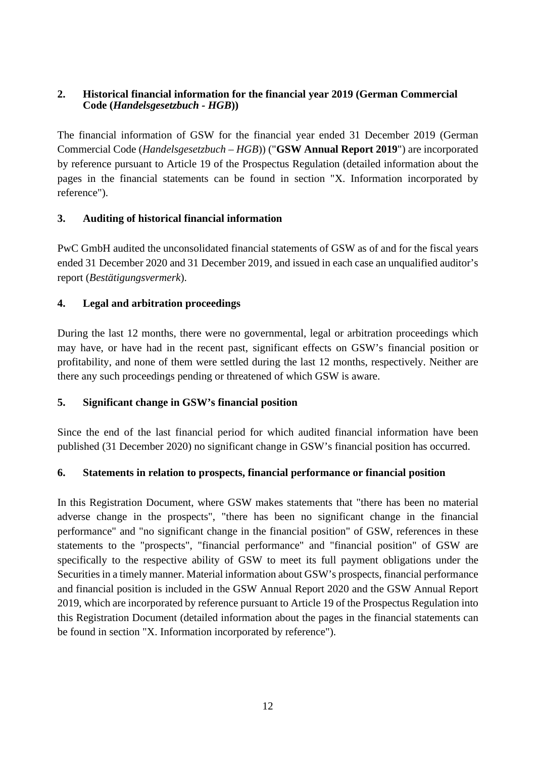#### <span id="page-11-0"></span>**2. Historical financial information for the financial year 2019 (German Commercial Code (***Handelsgesetzbuch - HGB***))**

The financial information of GSW for the financial year ended 31 December 2019 (German Commercial Code (*Handelsgesetzbuch – HGB*)) ("**GSW Annual Report 2019**") are incorporated by reference pursuant to Article 19 of the Prospectus Regulation (detailed information about the pages in the financial statements can be found in section "X. Information incorporated by reference").

# <span id="page-11-1"></span>**3. Auditing of historical financial information**

PwC GmbH audited the unconsolidated financial statements of GSW as of and for the fiscal years ended 31 December 2020 and 31 December 2019, and issued in each case an unqualified auditor's report (*Bestätigungsvermerk*).

# <span id="page-11-2"></span>**4. Legal and arbitration proceedings**

During the last 12 months, there were no governmental, legal or arbitration proceedings which may have, or have had in the recent past, significant effects on GSW's financial position or profitability, and none of them were settled during the last 12 months, respectively. Neither are there any such proceedings pending or threatened of which GSW is aware.

# <span id="page-11-3"></span>**5. Significant change in GSW's financial position**

Since the end of the last financial period for which audited financial information have been published (31 December 2020) no significant change in GSW's financial position has occurred.

# <span id="page-11-4"></span>**6. Statements in relation to prospects, financial performance or financial position**

In this Registration Document, where GSW makes statements that "there has been no material adverse change in the prospects", "there has been no significant change in the financial performance" and "no significant change in the financial position" of GSW, references in these statements to the "prospects", "financial performance" and "financial position" of GSW are specifically to the respective ability of GSW to meet its full payment obligations under the Securities in a timely manner. Material information about GSW's prospects, financial performance and financial position is included in the GSW Annual Report 2020 and the GSW Annual Report 2019, which are incorporated by reference pursuant to Article 19 of the Prospectus Regulation into this Registration Document (detailed information about the pages in the financial statements can be found in section "X. Information incorporated by reference").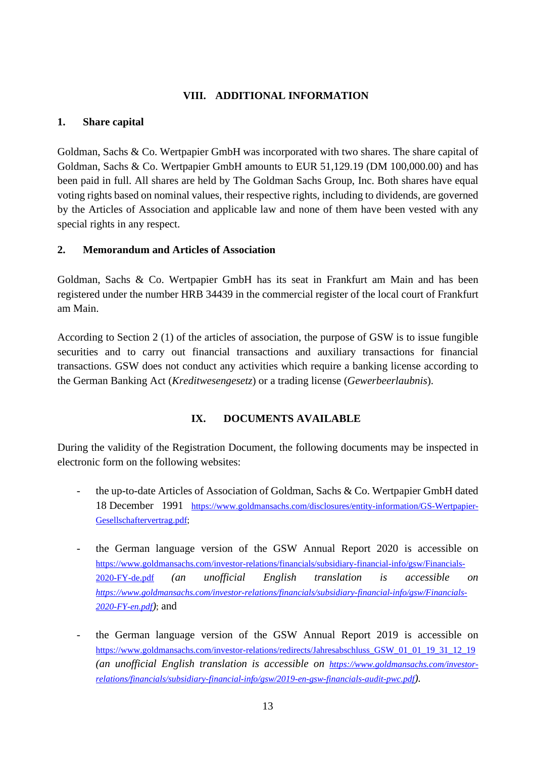# **VIII. ADDITIONAL INFORMATION**

#### <span id="page-12-1"></span><span id="page-12-0"></span>**1. Share capital**

Goldman, Sachs & Co. Wertpapier GmbH was incorporated with two shares. The share capital of Goldman, Sachs & Co. Wertpapier GmbH amounts to EUR 51,129.19 (DM 100,000.00) and has been paid in full. All shares are held by The Goldman Sachs Group, Inc. Both shares have equal voting rights based on nominal values, their respective rights, including to dividends, are governed by the Articles of Association and applicable law and none of them have been vested with any special rights in any respect.

#### <span id="page-12-2"></span>**2. Memorandum and Articles of Association**

Goldman, Sachs & Co. Wertpapier GmbH has its seat in Frankfurt am Main and has been registered under the number HRB 34439 in the commercial register of the local court of Frankfurt am Main.

According to Section 2 (1) of the articles of association, the purpose of GSW is to issue fungible securities and to carry out financial transactions and auxiliary transactions for financial transactions. GSW does not conduct any activities which require a banking license according to the German Banking Act (*Kreditwesengesetz*) or a trading license (*Gewerbeerlaubnis*).

# **IX. DOCUMENTS AVAILABLE**

<span id="page-12-3"></span>During the validity of the Registration Document, the following documents may be inspected in electronic form on the following websites:

- the up-to-date Articles of Association of Goldman, Sachs & Co. Wertpapier GmbH dated 18 December 1991 [https://www.goldmansachs.com/disclosures/entity-information/GS-Wertpapier-](https://www.goldmansachs.com/disclosures/entity-information/GS-Wertpapier-Gesellschaftervertrag.pdf)[Gesellschaftervertrag.pdf;](https://www.goldmansachs.com/disclosures/entity-information/GS-Wertpapier-Gesellschaftervertrag.pdf)
- the German language version of the GSW Annual Report 2020 is accessible on [https://www.goldmansachs.com/investor-relations/financials/subsidiary-financial-info/gsw/Financials-](https://www.goldmansachs.com/investor-relations/financials/subsidiary-financial-info/gsw/Financials-2020-FY-de.pdf)[2020-FY-de.pdf](https://www.goldmansachs.com/investor-relations/financials/subsidiary-financial-info/gsw/Financials-2020-FY-de.pdf) *[\(an unofficial English translation is accessible on](https://www.goldmansachs.com/investor-relations/financials/subsidiary-financial-info/gsw/Financials-2020-FY-de.pdf)  [https://www.goldmansachs.com/investor-relations/financials/subsidiary-financial-info/gsw/Financials-](https://www.goldmansachs.com/investor-relations/financials/subsidiary-financial-info/gsw/Financials-2020-FY-en.pdf)[2020-FY-en.pdf](https://www.goldmansachs.com/investor-relations/financials/subsidiary-financial-info/gsw/Financials-2020-FY-en.pdf))*; and
- the German language version of the GSW Annual Report 2019 is accessible on [https://www.goldmansachs.com/investor-relations/redirects/Jahresabschluss\\_GSW\\_01\\_01\\_19\\_31\\_12\\_19](https://www.goldmansachs.com/investor-relations/redirects/Jahresabschluss_GSW_01_01_19_31_12_19) (an unofficial English translation is accessible on [https://www.goldmansachs.com/investor](https://www.goldmansachs.com/investor-relations/financials/subsidiary-financial-info/gsw/2019-en-gsw-financials-audit-pwc.pdf)*[relations/financials/subsidiary-financial-info/gsw/2019-en-gsw-financials-audit-pwc.pdf](https://www.goldmansachs.com/investor-relations/financials/subsidiary-financial-info/gsw/2019-en-gsw-financials-audit-pwc.pdf)[\).](https://www.goldmansachs.com/investor-relations/financials/subsidiary-financial-info/gsw/2019-en-gsw-financials-audit-pwc.pdf)*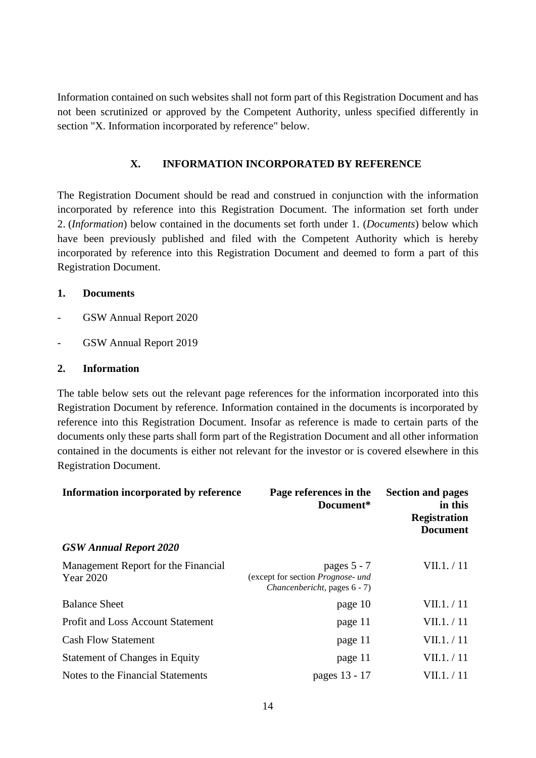Information contained on such websites shall not form part of this Registration Document and has not been scrutinized or approved by the Competent Authority, unless specified differently in section "X. Information incorporated by reference" below.

# <span id="page-13-0"></span>**X. INFORMATION INCORPORATED BY REFERENCE**

The Registration Document should be read and construed in conjunction with the information incorporated by reference into this Registration Document. The information set forth under 2. (*Information*) below contained in the documents set forth under 1. (*Documents*) below which have been previously published and filed with the Competent Authority which is hereby incorporated by reference into this Registration Document and deemed to form a part of this Registration Document.

#### <span id="page-13-1"></span>**1. Documents**

- GSW Annual Report 2020
- GSW Annual Report 2019

#### <span id="page-13-2"></span>**2. Information**

The table below sets out the relevant page references for the information incorporated into this Registration Document by reference. Information contained in the documents is incorporated by reference into this Registration Document. Insofar as reference is made to certain parts of the documents only these parts shall form part of the Registration Document and all other information contained in the documents is either not relevant for the investor or is covered elsewhere in this Registration Document.

| Information incorporated by reference            | Page references in the<br>Document*                                              | <b>Section and pages</b><br>in this<br><b>Registration</b><br><b>Document</b> |
|--------------------------------------------------|----------------------------------------------------------------------------------|-------------------------------------------------------------------------------|
| <b>GSW Annual Report 2020</b>                    |                                                                                  |                                                                               |
| Management Report for the Financial<br>Year 2020 | pages 5 - 7<br>(except for section Prognose- und<br>Chancenbericht, pages 6 - 7) | VII.1. / 11                                                                   |
| <b>Balance Sheet</b>                             | page 10                                                                          | VII.1. / 11                                                                   |
| <b>Profit and Loss Account Statement</b>         | page 11                                                                          | VII.1. / 11                                                                   |
| <b>Cash Flow Statement</b>                       | page 11                                                                          | VII.1./11                                                                     |
| <b>Statement of Changes in Equity</b>            | page 11                                                                          | VII.1./11                                                                     |
| Notes to the Financial Statements                | pages 13 - 17                                                                    | VII.1. / 11                                                                   |